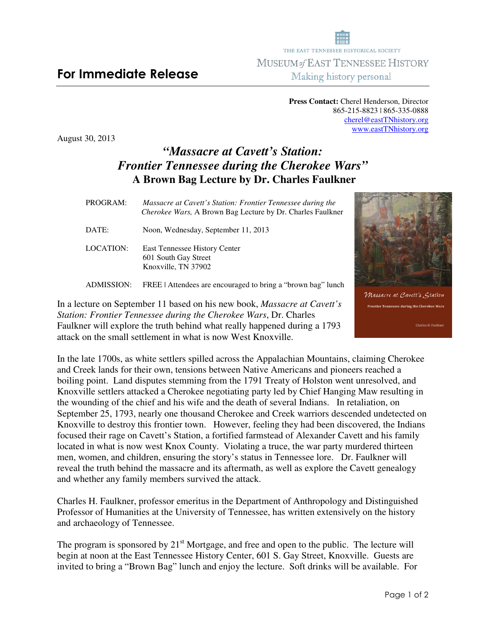## **For Immediate Release**

**Press Contact:** Cherel Henderson, Director 865-215-8823 | 865-335-0888 cherel@eastTNhistory.org www.eastTNhistory.org

THE EAST TENNESSEE HISTORICAL SOCIETY **MUSEUM of EAST TENNESSEE HISTORY** Making history personal

August 30, 2013

## *"Massacre at Cavett's Station: Frontier Tennessee during the Cherokee Wars"*   **A Brown Bag Lecture by Dr. Charles Faulkner**

 *Cherokee Wars,* A Brown Bag Lecture by Dr. Charles Faulkner DATE: Noon, Wednesday, September 11, 2013 LOCATION: East Tennessee History Center 601 South Gay Street Knoxville, TN 37902 ADMISSION: FREE | Attendees are encouraged to bring a "brown bag" lunch

PROGRAM:*Massacre at Cavett's Station: Frontier Tennessee during the* 

In a lecture on September 11 based on his new book, *Massacre at Cavett's Station: Frontier Tennessee during the Cherokee Wars*, Dr. Charles Faulkner will explore the truth behind what really happened during a 1793

attack on the small settlement in what is now West Knoxville.

In the late 1700s, as white settlers spilled across the Appalachian Mountains, claiming Cherokee and Creek lands for their own, tensions between Native Americans and pioneers reached a boiling point. Land disputes stemming from the 1791 Treaty of Holston went unresolved, and Knoxville settlers attacked a Cherokee negotiating party led by Chief Hanging Maw resulting in the wounding of the chief and his wife and the death of several Indians. In retaliation, on September 25, 1793, nearly one thousand Cherokee and Creek warriors descended undetected on Knoxville to destroy this frontier town. However, feeling they had been discovered, the Indians focused their rage on Cavett's Station, a fortified farmstead of Alexander Cavett and his family located in what is now west Knox County. Violating a truce, the war party murdered thirteen men, women, and children, ensuring the story's status in Tennessee lore. Dr. Faulkner will reveal the truth behind the massacre and its aftermath, as well as explore the Cavett genealogy and whether any family members survived the attack.

Charles H. Faulkner, professor emeritus in the Department of Anthropology and Distinguished Professor of Humanities at the University of Tennessee, has written extensively on the history and archaeology of Tennessee.

The program is sponsored by  $21<sup>st</sup>$  Mortgage, and free and open to the public. The lecture will begin at noon at the East Tennessee History Center, 601 S. Gay Street, Knoxville. Guests are invited to bring a "Brown Bag" lunch and enjoy the lecture. Soft drinks will be available. For

Wassacre at Cavett's Gtation